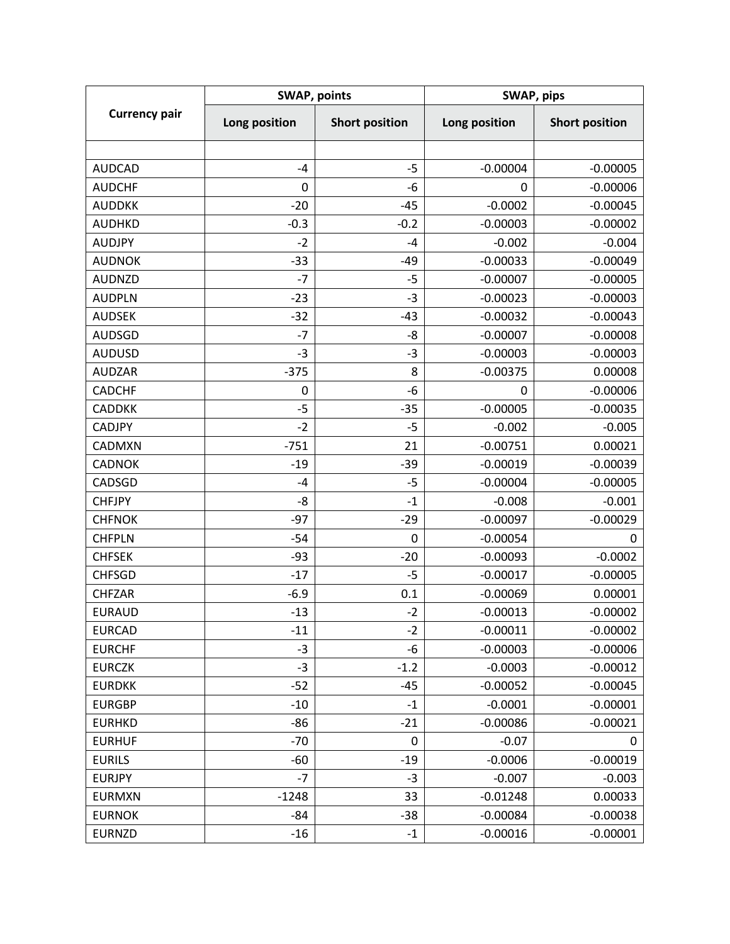| <b>Currency pair</b> | <b>SWAP, points</b> |                       | SWAP, pips    |                       |
|----------------------|---------------------|-----------------------|---------------|-----------------------|
|                      | Long position       | <b>Short position</b> | Long position | <b>Short position</b> |
|                      |                     |                       |               |                       |
| <b>AUDCAD</b>        | $-4$                | $-5$                  | $-0.00004$    | $-0.00005$            |
| <b>AUDCHF</b>        | 0                   | -6                    | 0             | $-0.00006$            |
| <b>AUDDKK</b>        | $-20$               | $-45$                 | $-0.0002$     | $-0.00045$            |
| <b>AUDHKD</b>        | $-0.3$              | $-0.2$                | $-0.00003$    | $-0.00002$            |
| <b>AUDJPY</b>        | $-2$                | $-4$                  | $-0.002$      | $-0.004$              |
| <b>AUDNOK</b>        | $-33$               | $-49$                 | $-0.00033$    | $-0.00049$            |
| <b>AUDNZD</b>        | $-7$                | $-5$                  | $-0.00007$    | $-0.00005$            |
| <b>AUDPLN</b>        | $-23$               | $-3$                  | $-0.00023$    | $-0.00003$            |
| <b>AUDSEK</b>        | $-32$               | $-43$                 | $-0.00032$    | $-0.00043$            |
| <b>AUDSGD</b>        | $-7$                | -8                    | $-0.00007$    | $-0.00008$            |
| <b>AUDUSD</b>        | $-3$                | $-3$                  | $-0.00003$    | $-0.00003$            |
| <b>AUDZAR</b>        | $-375$              | 8                     | $-0.00375$    | 0.00008               |
| <b>CADCHF</b>        | 0                   | $-6$                  | 0             | $-0.00006$            |
| <b>CADDKK</b>        | $-5$                | $-35$                 | $-0.00005$    | $-0.00035$            |
| <b>CADJPY</b>        | $-2$                | $-5$                  | $-0.002$      | $-0.005$              |
| <b>CADMXN</b>        | $-751$              | 21                    | $-0.00751$    | 0.00021               |
| <b>CADNOK</b>        | $-19$               | $-39$                 | $-0.00019$    | $-0.00039$            |
| CADSGD               | $-4$                | $-5$                  | $-0.00004$    | $-0.00005$            |
| <b>CHFJPY</b>        | -8                  | $-1$                  | $-0.008$      | $-0.001$              |
| <b>CHFNOK</b>        | $-97$               | $-29$                 | $-0.00097$    | $-0.00029$            |
| <b>CHFPLN</b>        | $-54$               | 0                     | $-0.00054$    | 0                     |
| <b>CHFSEK</b>        | $-93$               | $-20$                 | $-0.00093$    | $-0.0002$             |
| <b>CHFSGD</b>        | $-17$               | $-5$                  | $-0.00017$    | $-0.00005$            |
| <b>CHFZAR</b>        | $-6.9$              | 0.1                   | $-0.00069$    | 0.00001               |
| <b>EURAUD</b>        | $-13$               | $-2$                  | $-0.00013$    | $-0.00002$            |
| <b>EURCAD</b>        | $-11$               | $-2$                  | $-0.00011$    | $-0.00002$            |
| <b>EURCHF</b>        | $-3$                | -6                    | $-0.00003$    | $-0.00006$            |
| <b>EURCZK</b>        | $-3$                | $-1.2$                | $-0.0003$     | $-0.00012$            |
| <b>EURDKK</b>        | $-52$               | $-45$                 | $-0.00052$    | $-0.00045$            |
| <b>EURGBP</b>        | $-10$               | $-1$                  | $-0.0001$     | $-0.00001$            |
| <b>EURHKD</b>        | -86                 | $-21$                 | $-0.00086$    | $-0.00021$            |
| <b>EURHUF</b>        | $-70$               | 0                     | $-0.07$       | 0                     |
| <b>EURILS</b>        | -60                 | $-19$                 | $-0.0006$     | $-0.00019$            |
| <b>EURJPY</b>        | $-7$                | $-3$                  | $-0.007$      | $-0.003$              |
| <b>EURMXN</b>        | $-1248$             | 33                    | $-0.01248$    | 0.00033               |
| <b>EURNOK</b>        | -84                 | $-38$                 | $-0.00084$    | $-0.00038$            |
| <b>EURNZD</b>        | $-16$               | $-1$                  | $-0.00016$    | $-0.00001$            |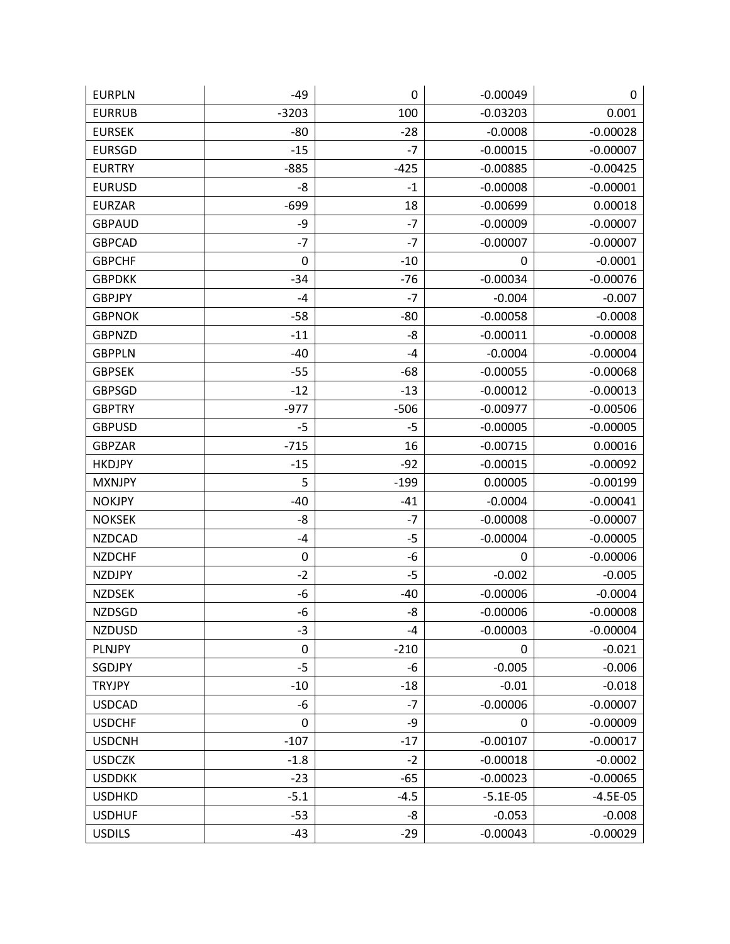| <b>EURPLN</b> | $-49$       | 0      | $-0.00049$ | 0          |
|---------------|-------------|--------|------------|------------|
| <b>EURRUB</b> | $-3203$     | 100    | $-0.03203$ | 0.001      |
| <b>EURSEK</b> | $-80$       | $-28$  | $-0.0008$  | $-0.00028$ |
| <b>EURSGD</b> | $-15$       | $-7$   | $-0.00015$ | $-0.00007$ |
| <b>EURTRY</b> | $-885$      | $-425$ | $-0.00885$ | $-0.00425$ |
| <b>EURUSD</b> | -8          | $-1$   | $-0.00008$ | $-0.00001$ |
| <b>EURZAR</b> | $-699$      | 18     | $-0.00699$ | 0.00018    |
| <b>GBPAUD</b> | -9          | $-7$   | $-0.00009$ | $-0.00007$ |
| <b>GBPCAD</b> | $-7$        | $-7$   | $-0.00007$ | $-0.00007$ |
| <b>GBPCHF</b> | $\mathbf 0$ | $-10$  | 0          | $-0.0001$  |
| <b>GBPDKK</b> | $-34$       | $-76$  | $-0.00034$ | $-0.00076$ |
| <b>GBPJPY</b> | $-4$        | $-7$   | $-0.004$   | $-0.007$   |
| <b>GBPNOK</b> | $-58$       | $-80$  | $-0.00058$ | $-0.0008$  |
| <b>GBPNZD</b> | $-11$       | -8     | $-0.00011$ | $-0.00008$ |
| <b>GBPPLN</b> | $-40$       | $-4$   | $-0.0004$  | $-0.00004$ |
| <b>GBPSEK</b> | -55         | $-68$  | $-0.00055$ | $-0.00068$ |
| <b>GBPSGD</b> | $-12$       | $-13$  | $-0.00012$ | $-0.00013$ |
| <b>GBPTRY</b> | $-977$      | $-506$ | $-0.00977$ | $-0.00506$ |
| <b>GBPUSD</b> | $-5$        | -5     | $-0.00005$ | $-0.00005$ |
| <b>GBPZAR</b> | $-715$      | 16     | $-0.00715$ | 0.00016    |
| <b>HKDJPY</b> | $-15$       | $-92$  | $-0.00015$ | $-0.00092$ |
| <b>MXNJPY</b> | 5           | $-199$ | 0.00005    | $-0.00199$ |
| <b>NOKJPY</b> | $-40$       | $-41$  | $-0.0004$  | $-0.00041$ |
| <b>NOKSEK</b> | -8          | $-7$   | $-0.00008$ | $-0.00007$ |
| <b>NZDCAD</b> | $-4$        | $-5$   | $-0.00004$ | $-0.00005$ |
| <b>NZDCHF</b> | $\mathbf 0$ | -6     | 0          | $-0.00006$ |
| <b>NZDJPY</b> | $-2$        | $-5$   | $-0.002$   | $-0.005$   |
| <b>NZDSEK</b> | -6          | $-40$  | $-0.00006$ | $-0.0004$  |
| <b>NZDSGD</b> | -6          | -8     | $-0.00006$ | $-0.00008$ |
| <b>NZDUSD</b> | $-3$        | $-4$   | $-0.00003$ | $-0.00004$ |
| PLNJPY        | $\pmb{0}$   | $-210$ | 0          | $-0.021$   |
| SGDJPY        | $-5$        | $-6$   | $-0.005$   | $-0.006$   |
| <b>TRYJPY</b> | $-10$       | $-18$  | $-0.01$    | $-0.018$   |
| <b>USDCAD</b> | $-6$        | $-7$   | $-0.00006$ | $-0.00007$ |
| <b>USDCHF</b> | $\mathbf 0$ | -9     | 0          | $-0.00009$ |
| <b>USDCNH</b> | $-107$      | $-17$  | $-0.00107$ | $-0.00017$ |
| <b>USDCZK</b> | $-1.8$      | $-2$   | $-0.00018$ | $-0.0002$  |
| <b>USDDKK</b> | $-23$       | $-65$  | $-0.00023$ | $-0.00065$ |
| <b>USDHKD</b> | $-5.1$      | $-4.5$ | $-5.1E-05$ | $-4.5E-05$ |
| <b>USDHUF</b> | $-53$       | -8     | $-0.053$   | $-0.008$   |
| <b>USDILS</b> | $-43$       | $-29$  | $-0.00043$ | $-0.00029$ |